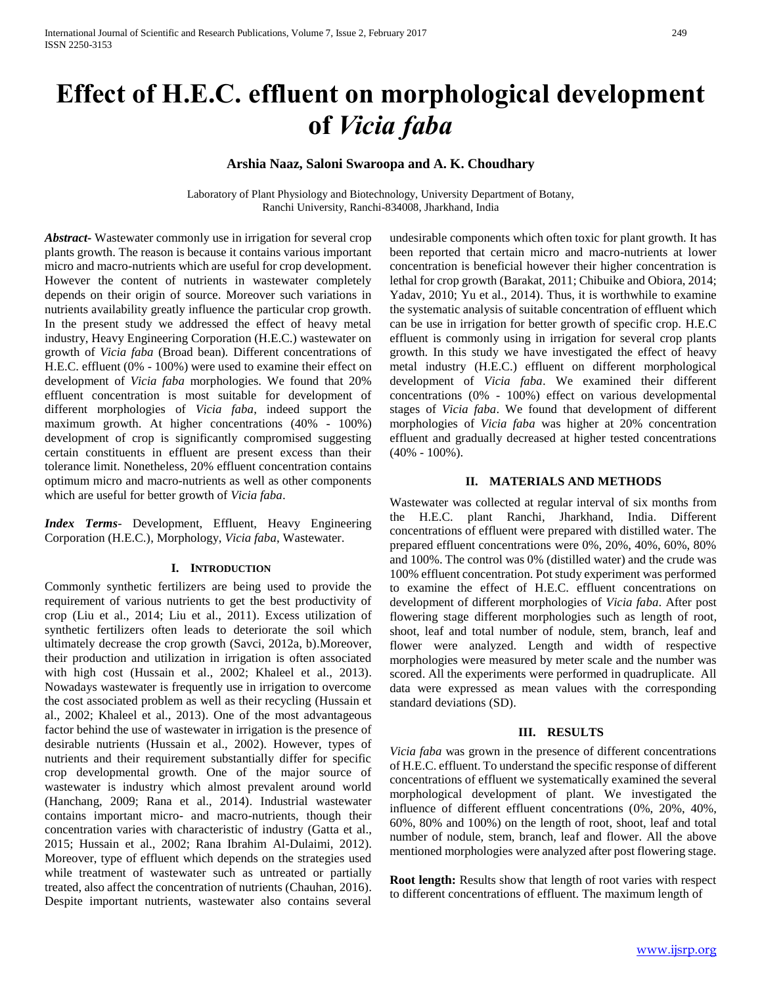# **Effect of H.E.C. effluent on morphological development of** *Vicia faba*

## **Arshia Naaz, Saloni Swaroopa and A. K. Choudhary**

Laboratory of Plant Physiology and Biotechnology, University Department of Botany, Ranchi University, Ranchi-834008, Jharkhand, India

*Abstract***-** Wastewater commonly use in irrigation for several crop plants growth. The reason is because it contains various important micro and macro-nutrients which are useful for crop development. However the content of nutrients in wastewater completely depends on their origin of source. Moreover such variations in nutrients availability greatly influence the particular crop growth. In the present study we addressed the effect of heavy metal industry, Heavy Engineering Corporation (H.E.C.) wastewater on growth of *Vicia faba* (Broad bean)*.* Different concentrations of H.E.C. effluent (0% - 100%) were used to examine their effect on development of *Vicia faba* morphologies. We found that 20% effluent concentration is most suitable for development of different morphologies of *Vicia faba*, indeed support the maximum growth. At higher concentrations (40% - 100%) development of crop is significantly compromised suggesting certain constituents in effluent are present excess than their tolerance limit. Nonetheless, 20% effluent concentration contains optimum micro and macro-nutrients as well as other components which are useful for better growth of *Vicia faba*.

*Index Terms*- Development, Effluent, Heavy Engineering Corporation (H.E.C.), Morphology, *Vicia faba*, Wastewater.

#### **I. INTRODUCTION**

Commonly synthetic fertilizers are being used to provide the requirement of various nutrients to get the best productivity of crop (Liu et al., 2014; Liu et al., 2011). Excess utilization of synthetic fertilizers often leads to deteriorate the soil which ultimately decrease the crop growth (Savci, 2012a, b).Moreover, their production and utilization in irrigation is often associated with high cost (Hussain et al., 2002; Khaleel et al., 2013). Nowadays wastewater is frequently use in irrigation to overcome the cost associated problem as well as their recycling (Hussain et al., 2002; Khaleel et al., 2013). One of the most advantageous factor behind the use of wastewater in irrigation is the presence of desirable nutrients (Hussain et al., 2002). However, types of nutrients and their requirement substantially differ for specific crop developmental growth. One of the major source of wastewater is industry which almost prevalent around world (Hanchang, 2009; Rana et al., 2014). Industrial wastewater contains important micro- and macro-nutrients, though their concentration varies with characteristic of industry (Gatta et al., 2015; Hussain et al., 2002; Rana Ibrahim Al-Dulaimi, 2012). Moreover, type of effluent which depends on the strategies used while treatment of wastewater such as untreated or partially treated, also affect the concentration of nutrients (Chauhan, 2016). Despite important nutrients, wastewater also contains several

undesirable components which often toxic for plant growth. It has been reported that certain micro and macro-nutrients at lower concentration is beneficial however their higher concentration is lethal for crop growth (Barakat, 2011; Chibuike and Obiora, 2014; Yadav, 2010; Yu et al., 2014). Thus, it is worthwhile to examine the systematic analysis of suitable concentration of effluent which can be use in irrigation for better growth of specific crop. H.E.C effluent is commonly using in irrigation for several crop plants growth. In this study we have investigated the effect of heavy metal industry (H.E.C.) effluent on different morphological development of *Vicia faba*. We examined their different concentrations (0% - 100%) effect on various developmental stages of *Vicia faba*. We found that development of different morphologies of *Vicia faba* was higher at 20% concentration effluent and gradually decreased at higher tested concentrations (40% - 100%).

### **II. MATERIALS AND METHODS**

Wastewater was collected at regular interval of six months from the H.E.C. plant Ranchi, Jharkhand, India. Different concentrations of effluent were prepared with distilled water. The prepared effluent concentrations were 0%, 20%, 40%, 60%, 80% and 100%. The control was 0% (distilled water) and the crude was 100% effluent concentration. Pot study experiment was performed to examine the effect of H.E.C. effluent concentrations on development of different morphologies of *Vicia faba*. After post flowering stage different morphologies such as length of root, shoot, leaf and total number of nodule, stem, branch, leaf and flower were analyzed. Length and width of respective morphologies were measured by meter scale and the number was scored. All the experiments were performed in quadruplicate. All data were expressed as mean values with the corresponding standard deviations (SD).

## **III. RESULTS**

*Vicia faba* was grown in the presence of different concentrations of H.E.C. effluent. To understand the specific response of different concentrations of effluent we systematically examined the several morphological development of plant. We investigated the influence of different effluent concentrations (0%, 20%, 40%, 60%, 80% and 100%) on the length of root, shoot, leaf and total number of nodule, stem, branch, leaf and flower. All the above mentioned morphologies were analyzed after post flowering stage.

**Root length:** Results show that length of root varies with respect to different concentrations of effluent. The maximum length of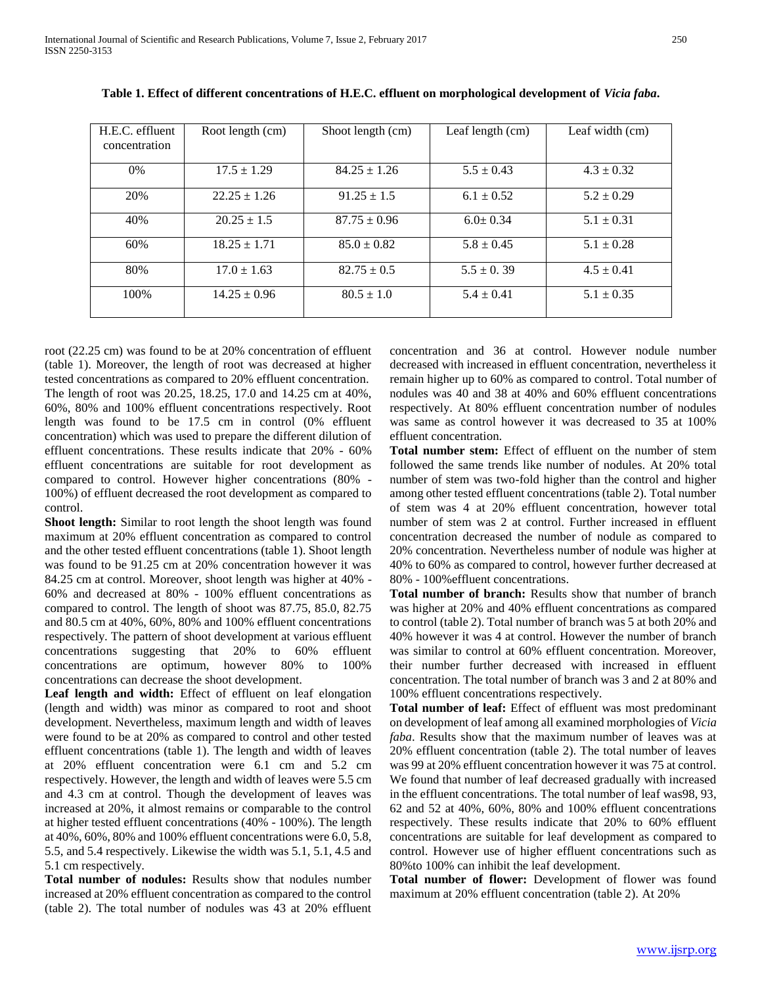| H.E.C. effluent<br>concentration | Root length (cm) | Shoot length (cm) | Leaf length $(cm)$ | Leaf width (cm) |
|----------------------------------|------------------|-------------------|--------------------|-----------------|
| $0\%$                            | $17.5 \pm 1.29$  | $84.25 \pm 1.26$  | $5.5 \pm 0.43$     | $4.3 \pm 0.32$  |
| 20%                              | $22.25 \pm 1.26$ | $91.25 \pm 1.5$   | $6.1 \pm 0.52$     | $5.2 \pm 0.29$  |
| 40%                              | $20.25 \pm 1.5$  | $87.75 \pm 0.96$  | $6.0 \pm 0.34$     | $5.1 \pm 0.31$  |
| 60%                              | $18.25 \pm 1.71$ | $85.0 \pm 0.82$   | $5.8 \pm 0.45$     | $5.1 \pm 0.28$  |
| 80%                              | $17.0 \pm 1.63$  | $82.75 \pm 0.5$   | $5.5 \pm 0.39$     | $4.5 \pm 0.41$  |
| 100\%                            | $14.25 \pm 0.96$ | $80.5 \pm 1.0$    | $5.4 \pm 0.41$     | $5.1 \pm 0.35$  |

**Table 1. Effect of different concentrations of H.E.C. effluent on morphological development of** *Vicia faba***.**

root (22.25 cm) was found to be at 20% concentration of effluent (table 1). Moreover, the length of root was decreased at higher tested concentrations as compared to 20% effluent concentration. The length of root was 20.25, 18.25, 17.0 and 14.25 cm at 40%, 60%, 80% and 100% effluent concentrations respectively. Root length was found to be 17.5 cm in control (0% effluent concentration) which was used to prepare the different dilution of effluent concentrations. These results indicate that 20% - 60% effluent concentrations are suitable for root development as compared to control. However higher concentrations (80% - 100%) of effluent decreased the root development as compared to control.

**Shoot length:** Similar to root length the shoot length was found maximum at 20% effluent concentration as compared to control and the other tested effluent concentrations (table 1). Shoot length was found to be 91.25 cm at 20% concentration however it was 84.25 cm at control. Moreover, shoot length was higher at 40% - 60% and decreased at 80% - 100% effluent concentrations as compared to control. The length of shoot was 87.75, 85.0, 82.75 and 80.5 cm at 40%, 60%, 80% and 100% effluent concentrations respectively. The pattern of shoot development at various effluent concentrations suggesting that 20% to 60% effluent concentrations are optimum, however 80% to 100% concentrations can decrease the shoot development.

**Leaf length and width:** Effect of effluent on leaf elongation (length and width) was minor as compared to root and shoot development. Nevertheless, maximum length and width of leaves were found to be at 20% as compared to control and other tested effluent concentrations (table 1). The length and width of leaves at 20% effluent concentration were 6.1 cm and 5.2 cm respectively. However, the length and width of leaves were 5.5 cm and 4.3 cm at control. Though the development of leaves was increased at 20%, it almost remains or comparable to the control at higher tested effluent concentrations (40% - 100%). The length at 40%, 60%, 80% and 100% effluent concentrations were 6.0, 5.8, 5.5, and 5.4 respectively. Likewise the width was 5.1, 5.1, 4.5 and 5.1 cm respectively.

**Total number of nodules:** Results show that nodules number increased at 20% effluent concentration as compared to the control (table 2). The total number of nodules was 43 at 20% effluent concentration and 36 at control. However nodule number decreased with increased in effluent concentration, nevertheless it remain higher up to 60% as compared to control. Total number of nodules was 40 and 38 at 40% and 60% effluent concentrations respectively. At 80% effluent concentration number of nodules was same as control however it was decreased to 35 at 100% effluent concentration.

**Total number stem:** Effect of effluent on the number of stem followed the same trends like number of nodules. At 20% total number of stem was two-fold higher than the control and higher among other tested effluent concentrations (table 2). Total number of stem was 4 at 20% effluent concentration, however total number of stem was 2 at control. Further increased in effluent concentration decreased the number of nodule as compared to 20% concentration. Nevertheless number of nodule was higher at 40% to 60% as compared to control, however further decreased at 80% - 100%effluent concentrations.

**Total number of branch:** Results show that number of branch was higher at 20% and 40% effluent concentrations as compared to control (table 2). Total number of branch was 5 at both 20% and 40% however it was 4 at control. However the number of branch was similar to control at 60% effluent concentration. Moreover, their number further decreased with increased in effluent concentration. The total number of branch was 3 and 2 at 80% and 100% effluent concentrations respectively.

**Total number of leaf:** Effect of effluent was most predominant on development of leaf among all examined morphologies of *Vicia faba*. Results show that the maximum number of leaves was at 20% effluent concentration (table 2). The total number of leaves was 99 at 20% effluent concentration however it was 75 at control. We found that number of leaf decreased gradually with increased in the effluent concentrations. The total number of leaf was98, 93, 62 and 52 at 40%, 60%, 80% and 100% effluent concentrations respectively. These results indicate that 20% to 60% effluent concentrations are suitable for leaf development as compared to control. However use of higher effluent concentrations such as 80%to 100% can inhibit the leaf development.

**Total number of flower:** Development of flower was found maximum at 20% effluent concentration (table 2). At 20%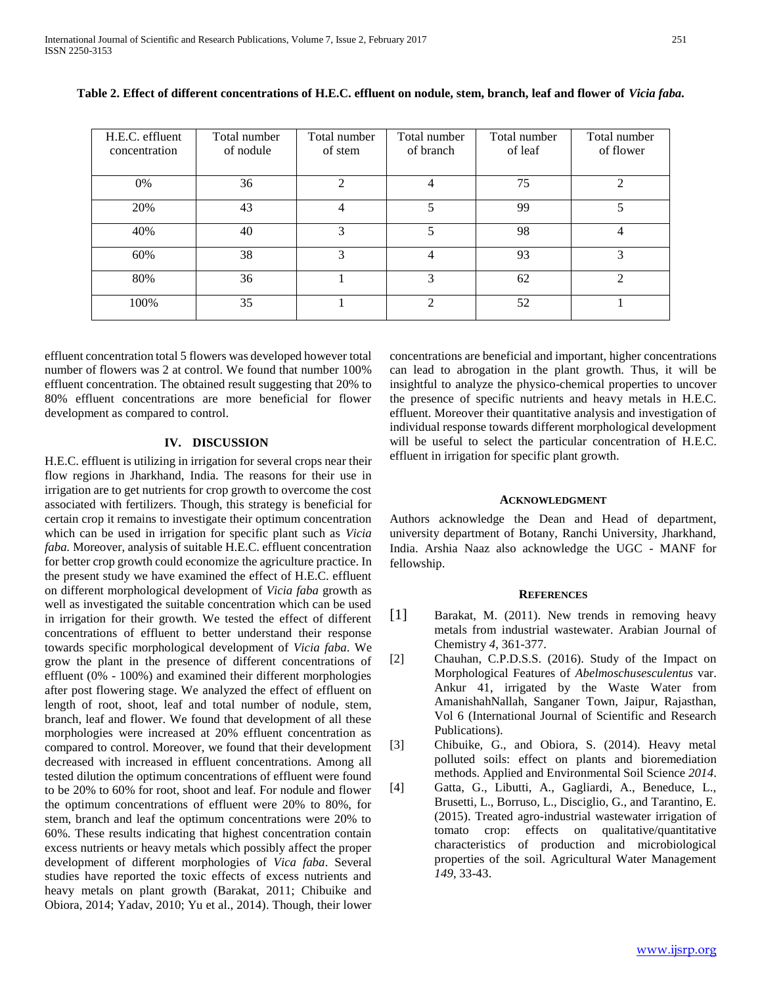| H.E.C. effluent<br>concentration | Total number<br>of nodule | Total number<br>of stem | Total number<br>of branch | Total number<br>of leaf | Total number<br>of flower |
|----------------------------------|---------------------------|-------------------------|---------------------------|-------------------------|---------------------------|
|                                  |                           |                         |                           |                         |                           |
| 0%                               | 36                        | $\overline{2}$          | 4                         | 75                      | $\overline{2}$            |
| 20%                              | 43                        | 4                       | 5                         | 99                      | 5                         |
| 40%                              | 40                        | 3                       | 5                         | 98                      | 4                         |
| 60%                              | 38                        | 3                       | 4                         | 93                      | 3                         |
| 80%                              | 36                        |                         | 3                         | 62                      | $\mathfrak{D}$            |
| 100%                             | 35                        |                         | $\mathfrak{D}$            | 52                      |                           |

| Table 2. Effect of different concentrations of H.E.C. effluent on nodule, stem, branch, leaf and flower of Vicia faba. |
|------------------------------------------------------------------------------------------------------------------------|
|------------------------------------------------------------------------------------------------------------------------|

effluent concentration total 5 flowers was developed however total number of flowers was 2 at control. We found that number 100% effluent concentration. The obtained result suggesting that 20% to 80% effluent concentrations are more beneficial for flower development as compared to control.

### **IV. DISCUSSION**

H.E.C. effluent is utilizing in irrigation for several crops near their flow regions in Jharkhand, India. The reasons for their use in irrigation are to get nutrients for crop growth to overcome the cost associated with fertilizers. Though, this strategy is beneficial for certain crop it remains to investigate their optimum concentration which can be used in irrigation for specific plant such as *Vicia faba.* Moreover, analysis of suitable H.E.C. effluent concentration for better crop growth could economize the agriculture practice. In the present study we have examined the effect of H.E.C. effluent on different morphological development of *Vicia faba* growth as well as investigated the suitable concentration which can be used in irrigation for their growth. We tested the effect of different concentrations of effluent to better understand their response towards specific morphological development of *Vicia faba*. We grow the plant in the presence of different concentrations of effluent (0% - 100%) and examined their different morphologies after post flowering stage. We analyzed the effect of effluent on length of root, shoot, leaf and total number of nodule, stem, branch, leaf and flower. We found that development of all these morphologies were increased at 20% effluent concentration as compared to control. Moreover, we found that their development decreased with increased in effluent concentrations. Among all tested dilution the optimum concentrations of effluent were found to be 20% to 60% for root, shoot and leaf. For nodule and flower the optimum concentrations of effluent were 20% to 80%, for stem, branch and leaf the optimum concentrations were 20% to 60%. These results indicating that highest concentration contain excess nutrients or heavy metals which possibly affect the proper development of different morphologies of *Vica faba*. Several studies have reported the toxic effects of excess nutrients and heavy metals on plant growth (Barakat, 2011; Chibuike and Obiora, 2014; Yadav, 2010; Yu et al., 2014). Though, their lower concentrations are beneficial and important, higher concentrations can lead to abrogation in the plant growth. Thus, it will be insightful to analyze the physico-chemical properties to uncover the presence of specific nutrients and heavy metals in H.E.C. effluent. Moreover their quantitative analysis and investigation of individual response towards different morphological development will be useful to select the particular concentration of H.E.C. effluent in irrigation for specific plant growth.

## **ACKNOWLEDGMENT**

Authors acknowledge the Dean and Head of department, university department of Botany, Ranchi University, Jharkhand, India. Arshia Naaz also acknowledge the UGC - MANF for fellowship.

## **REFERENCES**

- [1] Barakat, M. (2011). New trends in removing heavy metals from industrial wastewater. Arabian Journal of Chemistry *4*, 361-377.
- [2] Chauhan, C.P.D.S.S. (2016). Study of the Impact on Morphological Features of *Abelmoschusesculentus* var. Ankur 41, irrigated by the Waste Water from AmanishahNallah, Sanganer Town, Jaipur, Rajasthan, Vol 6 (International Journal of Scientific and Research Publications).
- [3] Chibuike, G., and Obiora, S. (2014). Heavy metal polluted soils: effect on plants and bioremediation methods. Applied and Environmental Soil Science *2014*.
- [4] Gatta, G., Libutti, A., Gagliardi, A., Beneduce, L., Brusetti, L., Borruso, L., Disciglio, G., and Tarantino, E. (2015). Treated agro-industrial wastewater irrigation of tomato crop: effects on qualitative/quantitative characteristics of production and microbiological properties of the soil. Agricultural Water Management *149*, 33-43.